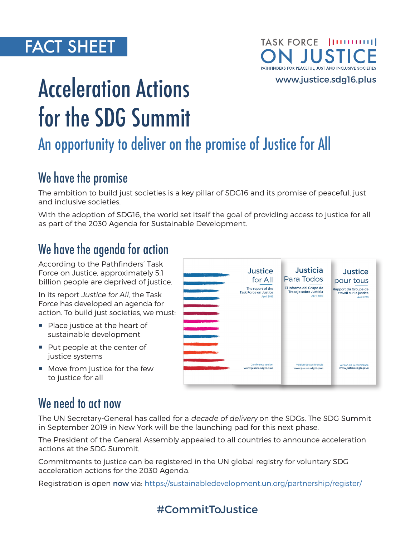## FACT SHEET

#### TASK FORCE | [111111111] J JUST PATHFINDERS FOR PEACEFUL, JUST AND INCLUSIVE SOCIETIES

[www.justice.sdg16.plus](http://www.justice.sdg16.plus)

# Acceleration Actions for the SDG Summit

## An opportunity to deliver on the promise of Justice for All

### We have the promise

The ambition to build just societies is a key pillar of SDG16 and its promise of peaceful, just and inclusive societies.

With the adoption of SDG16, the world set itself the goal of providing access to justice for all as part of the 2030 Agenda for Sustainable Development.

#### We have the agenda for action

According to the Pathfinders' Task Force on Justice, approximately 5.1 billion people are deprived of justice.

In its report Justice for All, the Task Force has developed an agenda for action. To build just societies, we must:

- **Place justice at the heart of** sustainable development
- Put people at the center of justice systems
- **Move from justice for the few** to justice for all

| $-1$         | <b>Justice</b>               | <b>Justicia</b>         | <b>Justice</b>           |
|--------------|------------------------------|-------------------------|--------------------------|
|              | for All                      | Para Todos              | pour tous                |
|              | The report of the            | El Informe del Grupo de | Rapport du Groupe de     |
|              | <b>Task Force on Justice</b> | Trabajo sobre Justicia  | travail sur la justice   |
|              | April 2019                   | <b>Abril 2019</b>       | <b>Avril 2019</b>        |
| $\mathbf{r}$ | Conference version           | Versión de conferencia  | Version de la conférence |
|              | www.justice.sdq16.plus       | www.justice.sdq16.plus  | www.justice.sdg16.plus   |

#### We need to act now

The UN Secretary-General has called for a decade of delivery on the SDGs. The SDG Summit in September 2019 in New York will be the launching pad for this next phase.

The President of the General Assembly appealed to all countries to announce acceleration actions at the SDG Summit.

Commitments to justice can be registered in the UN global registry for voluntary SDG acceleration actions for the 2030 Agenda.

Registration is open now via:<https://sustainabledevelopment.un.org/partnership/register/>

#### #CommitToJustice